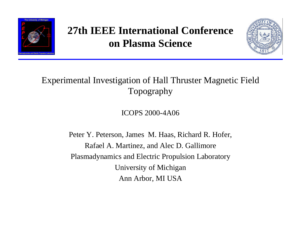

# **27th IEEE International Conference on Plasma Science**



#### Experimental Investigation of Hall Thruster Magnetic Field Topography

ICOPS 2000-4A06

Peter Y. Peterson, James M. Haas, Richard R. Hofer, Rafael A. Martinez, and Alec D. Gallimore Plasmadynamics and Electric Propulsion Laboratory University of Michigan Ann Arbor, MI USA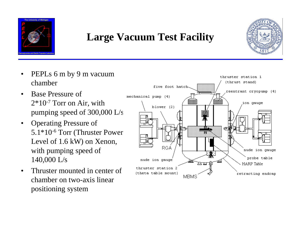

#### **Large Vacuum Test Facility**



- PEPLs 6 m by 9 m vacuum chamber
- Base Pressure of 2\*10-7 Torr on Air, with pumping speed of 300,000 L/s
- Operating Pressure of 5.1\*10-6 Torr (Thruster Power Level of 1.6 kW) on Xenon, with pumping speed of 140,000 L/s
- Thruster mounted in center of chamber on two-axis linear positioning system

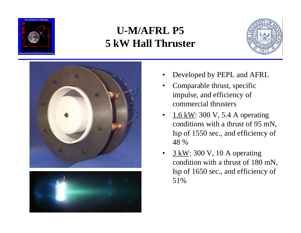

# **U-M/AFRL P5 5 kW Hall Thruster**







- Developed by PEPL and AFRL
- Comparable thrust, specific impulse, and efficiency of commercial thrusters
- $1.6 \text{ kW}$ : 300 V, 5.4 A operating conditions with a thrust of 95 mN, Isp of 1550 sec., and efficiency of 48 %
- $\frac{3 \text{ kW}}{2}$ : 300 V, 10 A operating condition with a thrust of 180 mN, Isp of 1650 sec., and efficiency of 51%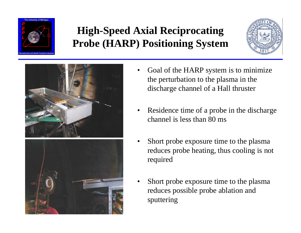

# **High-Speed Axial Reciprocating Probe (HARP) Positioning System**





- Goal of the HARP system is to minimize the perturbation to the plasma in the discharge channel of a Hall thruster
- Residence time of a probe in the discharge channel is less than 80 ms
- Short probe exposure time to the plasma reduces probe heating, thus cooling is not required
- Short probe exposure time to the plasma reduces possible probe ablation and sputtering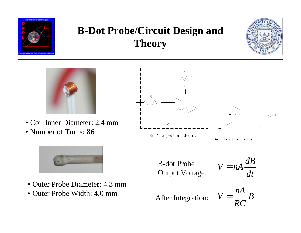

# **B-Dot Probe/Circuit Design and Theory**





• Coil Inner Diameter: 2.4 mm • Number of Turns: 86



- Outer Probe Diameter: 4.3 mm
- Outer Probe Width: 4.0 mm



B-dot Probe Output Voltage

$$
V = nA \frac{dB}{dt}
$$

*nA*  $V = \frac{I^2}{R} B$ *RC* After Integration: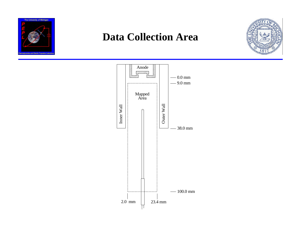

#### **Data Collection Area**



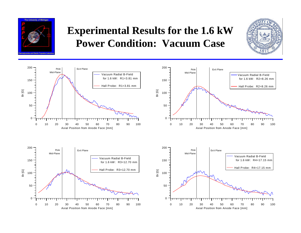

## **Experimental Results for the 1.6 kW Power Condition: Vacuum Case**



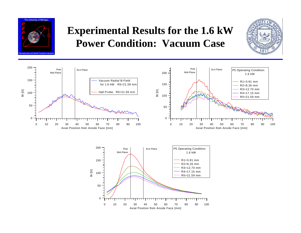

## **Experimental Results for the 1.6 kW Power Condition: Vacuum Case**





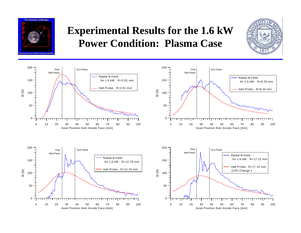

### **Experimental Results for the 1.6 kW Power Condition: Plasma Case**



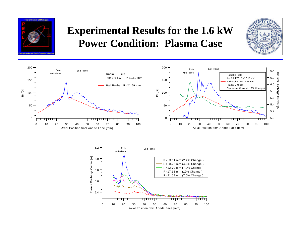

## **Experimental Results for the 1.6 kW Power Condition: Plasma Case**





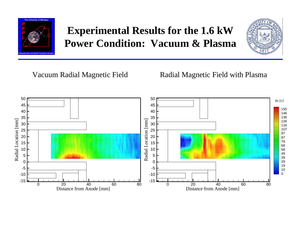

# **Experimental Results for the 1.6 kW Power Condition: Vacuum & Plasma**



Vacuum Radial Magnetic Field **Radial Magnetic Field with Plasma** 

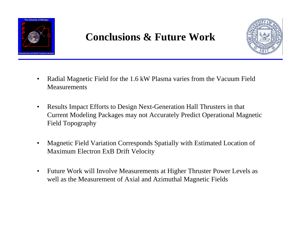

#### **Conclusions & Future Work**



- Radial Magnetic Field for the 1.6 kW Plasma varies from the Vacuum Field **Measurements**
- Results Impact Efforts to Design Next-Generation Hall Thrusters in that Current Modeling Packages may not Accurately Predict Operational Magnetic Field Topography
- Magnetic Field Variation Corresponds Spatially with Estimated Location of Maximum Electron ExB Drift Velocity
- Future Work will Involve Measurements at Higher Thruster Power Levels as well as the Measurement of Axial and Azimuthal Magnetic Fields